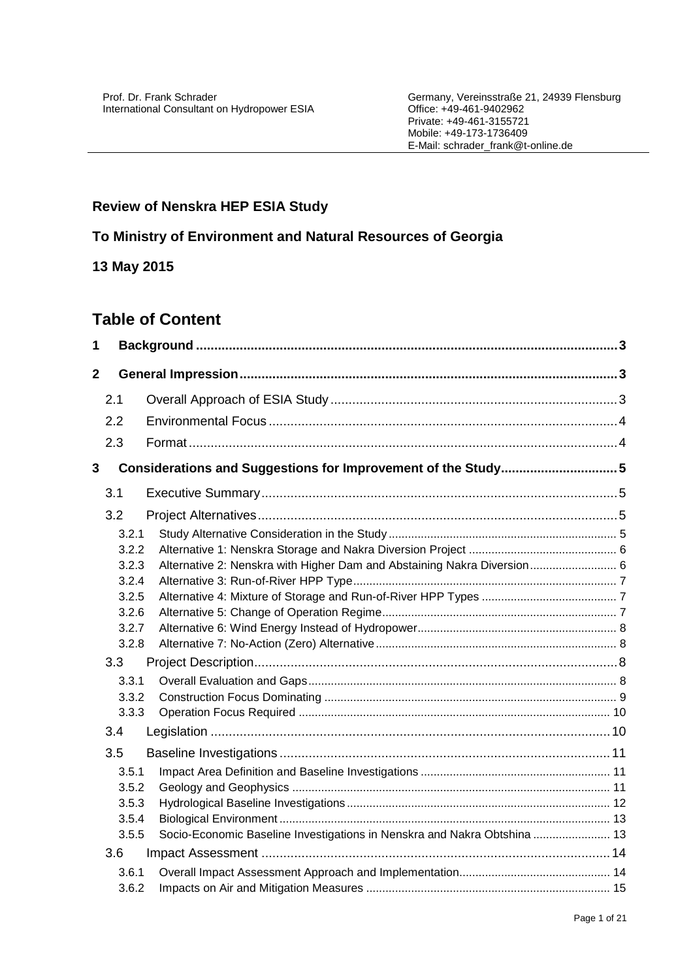# **Review of Nenskra HEP ESIA Study**

# **To Ministry of Environment and Natural Resources of Georgia**

# **13 May 2015**

# **Table of Content**

| 1              |                |                                                                          |  |
|----------------|----------------|--------------------------------------------------------------------------|--|
| $\overline{2}$ |                |                                                                          |  |
|                | 2.1            |                                                                          |  |
|                | 2.2            |                                                                          |  |
|                | 2.3            |                                                                          |  |
| 3              |                | Considerations and Suggestions for Improvement of the Study5             |  |
|                |                |                                                                          |  |
|                | 3.1            |                                                                          |  |
|                | 3.2            |                                                                          |  |
|                | 3.2.1          |                                                                          |  |
|                | 3.2.2          |                                                                          |  |
|                | 3.2.3          | Alternative 2: Nenskra with Higher Dam and Abstaining Nakra Diversion 6  |  |
|                | 3.2.4          |                                                                          |  |
|                | 3.2.5          |                                                                          |  |
|                | 3.2.6          |                                                                          |  |
|                | 3.2.7<br>3.2.8 |                                                                          |  |
|                |                |                                                                          |  |
|                | 3.3            |                                                                          |  |
|                | 3.3.1          |                                                                          |  |
|                | 3.3.2          |                                                                          |  |
|                | 3.3.3          |                                                                          |  |
|                | 3.4            |                                                                          |  |
|                | 3.5            |                                                                          |  |
|                | 3.5.1          |                                                                          |  |
|                | 3.5.2          |                                                                          |  |
|                | 3.5.3          |                                                                          |  |
|                | 3.5.4          |                                                                          |  |
|                | 3.5.5          | Socio-Economic Baseline Investigations in Nenskra and Nakra Obtshina  13 |  |
|                | 3.6            |                                                                          |  |
|                | 3.6.1          |                                                                          |  |
|                | 3.6.2          |                                                                          |  |
|                |                |                                                                          |  |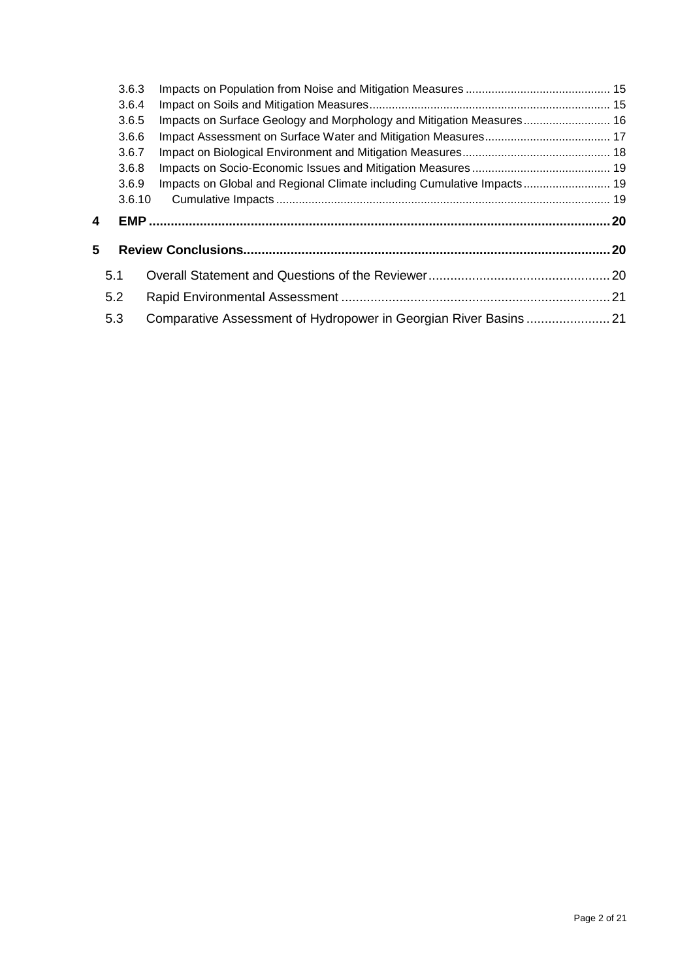|   | 3.6.3  |                                                                        |  |
|---|--------|------------------------------------------------------------------------|--|
|   | 3.6.4  |                                                                        |  |
|   | 3.6.5  | Impacts on Surface Geology and Morphology and Mitigation Measures 16   |  |
|   | 3.6.6  |                                                                        |  |
|   | 3.6.7  |                                                                        |  |
|   | 3.6.8  |                                                                        |  |
|   | 3.6.9  | Impacts on Global and Regional Climate including Cumulative Impacts 19 |  |
|   | 3.6.10 |                                                                        |  |
| 4 |        |                                                                        |  |
|   |        |                                                                        |  |
| 5 |        |                                                                        |  |
|   | 5.1    |                                                                        |  |
|   | 5.2    |                                                                        |  |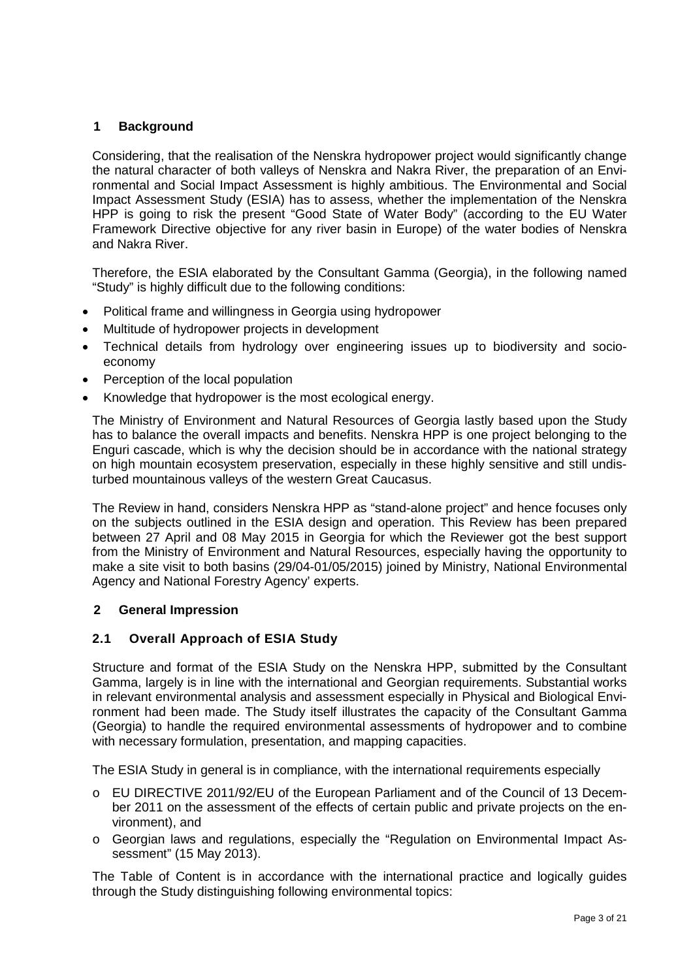## <span id="page-2-0"></span>**1 Background**

Considering, that the realisation of the Nenskra hydropower project would significantly change the natural character of both valleys of Nenskra and Nakra River, the preparation of an Environmental and Social Impact Assessment is highly ambitious. The Environmental and Social Impact Assessment Study (ESIA) has to assess, whether the implementation of the Nenskra HPP is going to risk the present "Good State of Water Body" (according to the EU Water Framework Directive objective for any river basin in Europe) of the water bodies of Nenskra and Nakra River.

Therefore, the ESIA elaborated by the Consultant Gamma (Georgia), in the following named "Study" is highly difficult due to the following conditions:

- Political frame and willingness in Georgia using hydropower
- Multitude of hydropower projects in development
- Technical details from hydrology over engineering issues up to biodiversity and socioeconomy
- Perception of the local population
- Knowledge that hydropower is the most ecological energy.

The Ministry of Environment and Natural Resources of Georgia lastly based upon the Study has to balance the overall impacts and benefits. Nenskra HPP is one project belonging to the Enguri cascade, which is why the decision should be in accordance with the national strategy on high mountain ecosystem preservation, especially in these highly sensitive and still undisturbed mountainous valleys of the western Great Caucasus.

The Review in hand, considers Nenskra HPP as "stand-alone project" and hence focuses only on the subjects outlined in the ESIA design and operation. This Review has been prepared between 27 April and 08 May 2015 in Georgia for which the Reviewer got the best support from the Ministry of Environment and Natural Resources, especially having the opportunity to make a site visit to both basins (29/04-01/05/2015) joined by Ministry, National Environmental Agency and National Forestry Agency' experts.

#### <span id="page-2-1"></span>**2 General Impression**

#### <span id="page-2-2"></span>**2.1 Overall Approach of ESIA Study**

Structure and format of the ESIA Study on the Nenskra HPP, submitted by the Consultant Gamma, largely is in line with the international and Georgian requirements. Substantial works in relevant environmental analysis and assessment especially in Physical and Biological Environment had been made. The Study itself illustrates the capacity of the Consultant Gamma (Georgia) to handle the required environmental assessments of hydropower and to combine with necessary formulation, presentation, and mapping capacities.

The ESIA Study in general is in compliance, with the international requirements especially

- o EU DIRECTIVE 2011/92/EU of the European Parliament and of the Council of 13 December 2011 on the assessment of the effects of certain public and private projects on the environment), and
- o Georgian laws and regulations, especially the "Regulation on Environmental Impact Assessment" (15 May 2013).

The Table of Content is in accordance with the international practice and logically guides through the Study distinguishing following environmental topics: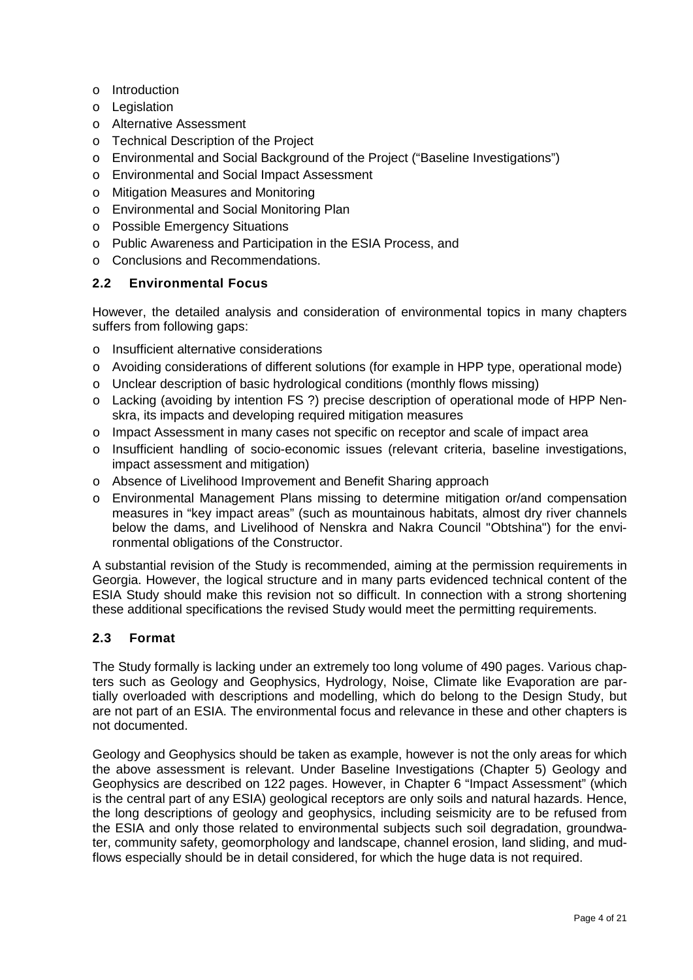- o Introduction
- o Legislation
- o Alternative Assessment
- o Technical Description of the Project
- o Environmental and Social Background of the Project ("Baseline Investigations")
- o Environmental and Social Impact Assessment
- o Mitigation Measures and Monitoring
- o Environmental and Social Monitoring Plan
- o Possible Emergency Situations
- o Public Awareness and Participation in the ESIA Process, and
- o Conclusions and Recommendations.

## <span id="page-3-0"></span>**2.2 Environmental Focus**

However, the detailed analysis and consideration of environmental topics in many chapters suffers from following gaps:

- o Insufficient alternative considerations
- o Avoiding considerations of different solutions (for example in HPP type, operational mode)
- o Unclear description of basic hydrological conditions (monthly flows missing)
- o Lacking (avoiding by intention FS ?) precise description of operational mode of HPP Nenskra, its impacts and developing required mitigation measures
- o Impact Assessment in many cases not specific on receptor and scale of impact area
- o Insufficient handling of socio-economic issues (relevant criteria, baseline investigations, impact assessment and mitigation)
- o Absence of Livelihood Improvement and Benefit Sharing approach
- o Environmental Management Plans missing to determine mitigation or/and compensation measures in "key impact areas" (such as mountainous habitats, almost dry river channels below the dams, and Livelihood of Nenskra and Nakra Council "Obtshina") for the environmental obligations of the Constructor.

A substantial revision of the Study is recommended, aiming at the permission requirements in Georgia. However, the logical structure and in many parts evidenced technical content of the ESIA Study should make this revision not so difficult. In connection with a strong shortening these additional specifications the revised Study would meet the permitting requirements.

## <span id="page-3-1"></span>**2.3 Format**

The Study formally is lacking under an extremely too long volume of 490 pages. Various chapters such as Geology and Geophysics, Hydrology, Noise, Climate like Evaporation are partially overloaded with descriptions and modelling, which do belong to the Design Study, but are not part of an ESIA. The environmental focus and relevance in these and other chapters is not documented.

Geology and Geophysics should be taken as example, however is not the only areas for which the above assessment is relevant. Under Baseline Investigations (Chapter 5) Geology and Geophysics are described on 122 pages. However, in Chapter 6 "Impact Assessment" (which is the central part of any ESIA) geological receptors are only soils and natural hazards. Hence, the long descriptions of geology and geophysics, including seismicity are to be refused from the ESIA and only those related to environmental subjects such soil degradation, groundwater, community safety, geomorphology and landscape, channel erosion, land sliding, and mudflows especially should be in detail considered, for which the huge data is not required.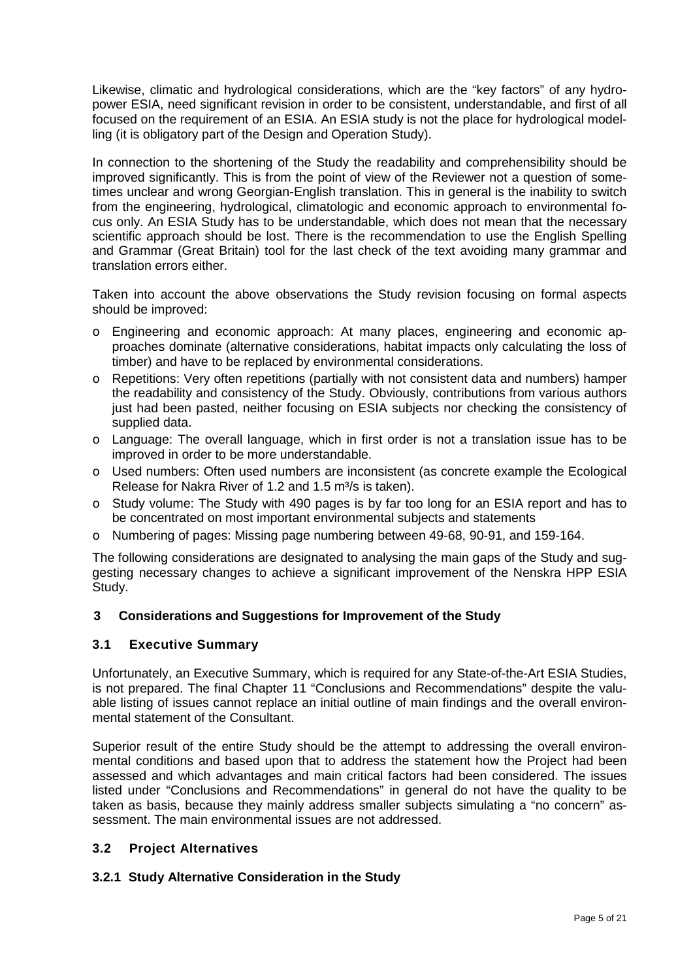Likewise, climatic and hydrological considerations, which are the "key factors" of any hydropower ESIA, need significant revision in order to be consistent, understandable, and first of all focused on the requirement of an ESIA. An ESIA study is not the place for hydrological modelling (it is obligatory part of the Design and Operation Study).

In connection to the shortening of the Study the readability and comprehensibility should be improved significantly. This is from the point of view of the Reviewer not a question of sometimes unclear and wrong Georgian-English translation. This in general is the inability to switch from the engineering, hydrological, climatologic and economic approach to environmental focus only. An ESIA Study has to be understandable, which does not mean that the necessary scientific approach should be lost. There is the recommendation to use the English Spelling and Grammar (Great Britain) tool for the last check of the text avoiding many grammar and translation errors either.

Taken into account the above observations the Study revision focusing on formal aspects should be improved:

- o Engineering and economic approach: At many places, engineering and economic approaches dominate (alternative considerations, habitat impacts only calculating the loss of timber) and have to be replaced by environmental considerations.
- o Repetitions: Very often repetitions (partially with not consistent data and numbers) hamper the readability and consistency of the Study. Obviously, contributions from various authors just had been pasted, neither focusing on ESIA subjects nor checking the consistency of supplied data.
- o Language: The overall language, which in first order is not a translation issue has to be improved in order to be more understandable.
- o Used numbers: Often used numbers are inconsistent (as concrete example the Ecological Release for Nakra River of 1.2 and 1.5 m<sup>3</sup>/s is taken).
- o Study volume: The Study with 490 pages is by far too long for an ESIA report and has to be concentrated on most important environmental subjects and statements
- o Numbering of pages: Missing page numbering between 49-68, 90-91, and 159-164.

The following considerations are designated to analysing the main gaps of the Study and suggesting necessary changes to achieve a significant improvement of the Nenskra HPP ESIA Study.

## <span id="page-4-0"></span>**3 Considerations and Suggestions for Improvement of the Study**

#### <span id="page-4-1"></span>**3.1 Executive Summary**

Unfortunately, an Executive Summary, which is required for any State-of-the-Art ESIA Studies, is not prepared. The final Chapter 11 "Conclusions and Recommendations" despite the valuable listing of issues cannot replace an initial outline of main findings and the overall environmental statement of the Consultant.

Superior result of the entire Study should be the attempt to addressing the overall environmental conditions and based upon that to address the statement how the Project had been assessed and which advantages and main critical factors had been considered. The issues listed under "Conclusions and Recommendations" in general do not have the quality to be taken as basis, because they mainly address smaller subjects simulating a "no concern" assessment. The main environmental issues are not addressed.

## <span id="page-4-2"></span>**3.2 Project Alternatives**

## <span id="page-4-3"></span>**3.2.1 Study Alternative Consideration in the Study**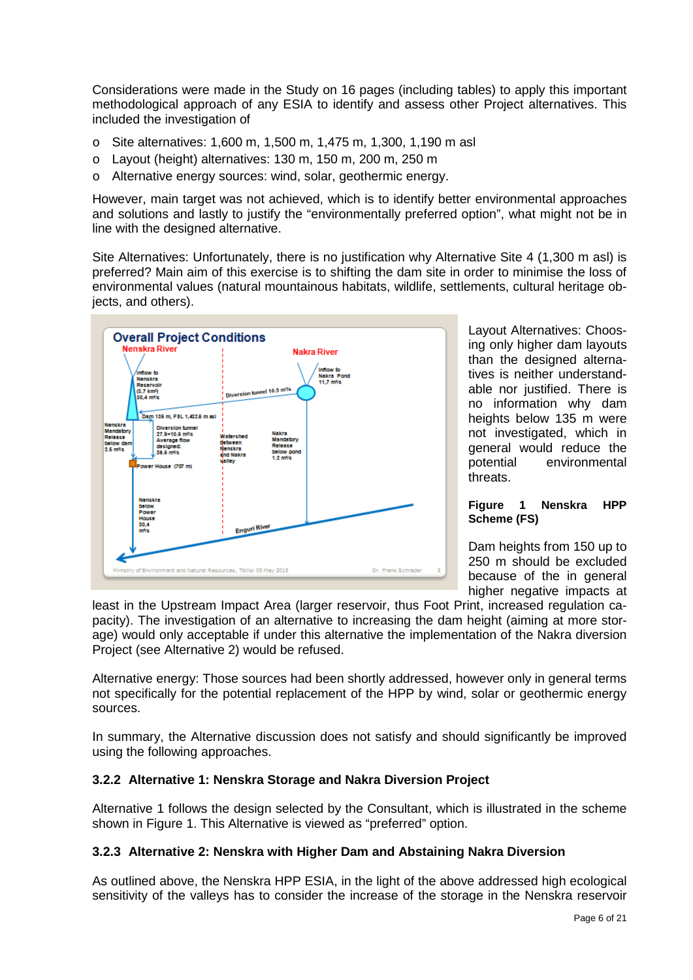Considerations were made in the Study on 16 pages (including tables) to apply this important methodological approach of any ESIA to identify and assess other Project alternatives. This included the investigation of

- o Site alternatives: 1,600 m, 1,500 m, 1,475 m, 1,300, 1,190 m asl
- o Layout (height) alternatives: 130 m, 150 m, 200 m, 250 m
- o Alternative energy sources: wind, solar, geothermic energy.

However, main target was not achieved, which is to identify better environmental approaches and solutions and lastly to justify the "environmentally preferred option", what might not be in line with the designed alternative.

Site Alternatives: Unfortunately, there is no justification why Alternative Site 4 (1,300 m asl) is preferred? Main aim of this exercise is to shifting the dam site in order to minimise the loss of environmental values (natural mountainous habitats, wildlife, settlements, cultural heritage objects, and others).



Layout Alternatives: Choosing only higher dam layouts than the designed alternatives is neither understandable nor justified. There is no information why dam heights below 135 m were not investigated, which in general would reduce the potential environmental threats.

#### <span id="page-5-2"></span>**Figure 1 Nenskra HPP Scheme (FS)**

Dam heights from 150 up to 250 m should be excluded because of the in general higher negative impacts at

least in the Upstream Impact Area (larger reservoir, thus Foot Print, increased regulation capacity). The investigation of an alternative to increasing the dam height (aiming at more storage) would only acceptable if under this alternative the implementation of the Nakra diversion Project (see Alternative 2) would be refused.

Alternative energy: Those sources had been shortly addressed, however only in general terms not specifically for the potential replacement of the HPP by wind, solar or geothermic energy sources.

In summary, the Alternative discussion does not satisfy and should significantly be improved using the following approaches.

## <span id="page-5-0"></span>**3.2.2 Alternative 1: Nenskra Storage and Nakra Diversion Project**

Alternative 1 follows the design selected by the Consultant, which is illustrated in the scheme shown in [Figure 1.](#page-5-2) This Alternative is viewed as "preferred" option.

## <span id="page-5-1"></span>**3.2.3 Alternative 2: Nenskra with Higher Dam and Abstaining Nakra Diversion**

As outlined above, the Nenskra HPP ESIA, in the light of the above addressed high ecological sensitivity of the valleys has to consider the increase of the storage in the Nenskra reservoir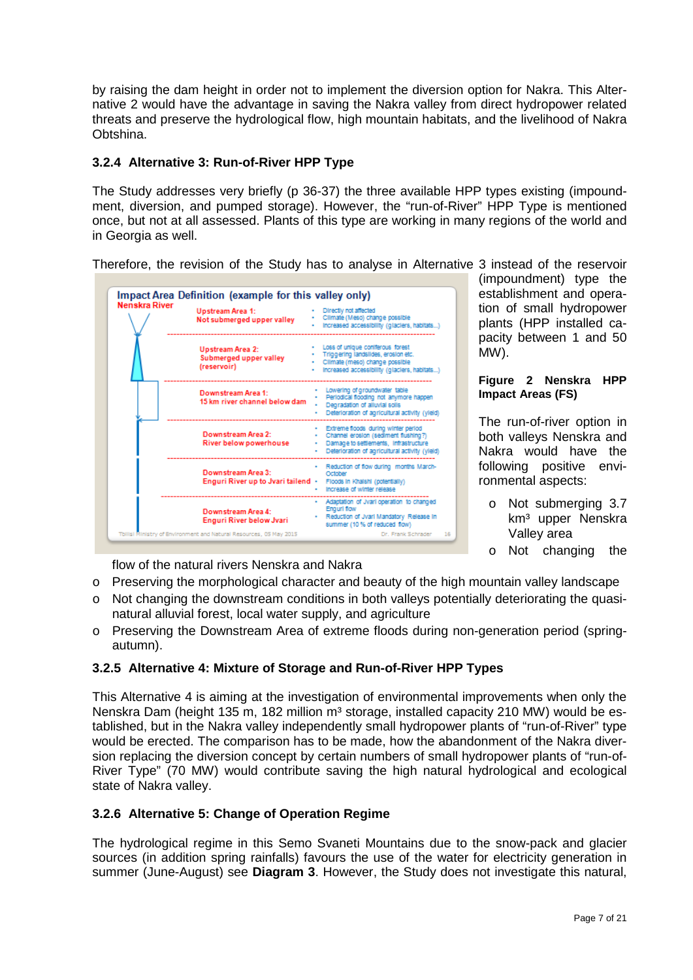by raising the dam height in order not to implement the diversion option for Nakra. This Alternative 2 would have the advantage in saving the Nakra valley from direct hydropower related threats and preserve the hydrological flow, high mountain habitats, and the livelihood of Nakra Obtshina.

## <span id="page-6-0"></span>**3.2.4 Alternative 3: Run-of-River HPP Type**

The Study addresses very briefly (p 36-37) the three available HPP types existing (impoundment, diversion, and pumped storage). However, the "run-of-River" HPP Type is mentioned once, but not at all assessed. Plants of this type are working in many regions of the world and in Georgia as well.

Therefore, the revision of the Study has to analyse in Alternative 3 instead of the reservoir



(impoundment) type the establishment and operation of small hydropower plants (HPP installed capacity between 1 and 50 MW).

#### **Figure 2 Nenskra HPP Impact Areas (FS)**

The run-of-river option in both valleys Nenskra and Nakra would have the following positive environmental aspects:

- o Not submerging 3.7 km<sup>3</sup> upper Nenskra Valley area
- o Not changing the

flow of the natural rivers Nenskra and Nakra

- o Preserving the morphological character and beauty of the high mountain valley landscape
- o Not changing the downstream conditions in both valleys potentially deteriorating the quasinatural alluvial forest, local water supply, and agriculture
- o Preserving the Downstream Area of extreme floods during non-generation period (springautumn).

## <span id="page-6-1"></span>**3.2.5 Alternative 4: Mixture of Storage and Run-of-River HPP Types**

This Alternative 4 is aiming at the investigation of environmental improvements when only the Nenskra Dam (height 135 m, 182 million  $m<sup>3</sup>$  storage, installed capacity 210 MW) would be established, but in the Nakra valley independently small hydropower plants of "run-of-River" type would be erected. The comparison has to be made, how the abandonment of the Nakra diversion replacing the diversion concept by certain numbers of small hydropower plants of "run-of-River Type" (70 MW) would contribute saving the high natural hydrological and ecological state of Nakra valley.

## <span id="page-6-2"></span>**3.2.6 Alternative 5: Change of Operation Regime**

The hydrological regime in this Semo Svaneti Mountains due to the snow-pack and glacier sources (in addition spring rainfalls) favours the use of the water for electricity generation in summer (June-August) see **[Diagram 3](#page-16-1)**. However, the Study does not investigate this natural,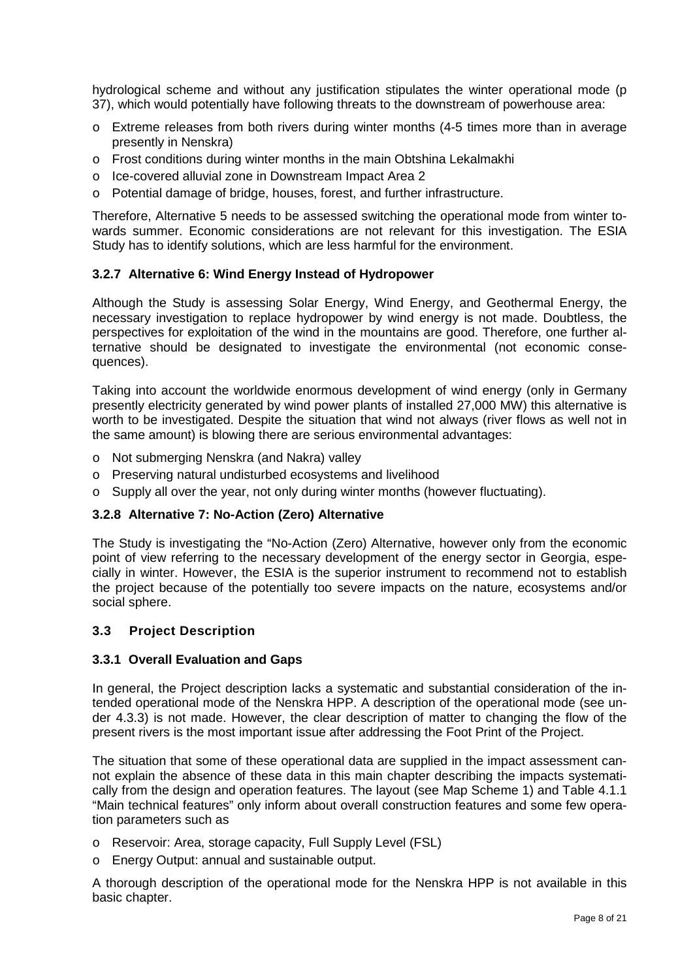hydrological scheme and without any justification stipulates the winter operational mode (p 37), which would potentially have following threats to the downstream of powerhouse area:

- $\circ$  Extreme releases from both rivers during winter months (4-5 times more than in average presently in Nenskra)
- o Frost conditions during winter months in the main Obtshina Lekalmakhi
- o Ice-covered alluvial zone in Downstream Impact Area 2
- o Potential damage of bridge, houses, forest, and further infrastructure.

Therefore, Alternative 5 needs to be assessed switching the operational mode from winter towards summer. Economic considerations are not relevant for this investigation. The ESIA Study has to identify solutions, which are less harmful for the environment.

## <span id="page-7-0"></span>**3.2.7 Alternative 6: Wind Energy Instead of Hydropower**

Although the Study is assessing Solar Energy, Wind Energy, and Geothermal Energy, the necessary investigation to replace hydropower by wind energy is not made. Doubtless, the perspectives for exploitation of the wind in the mountains are good. Therefore, one further alternative should be designated to investigate the environmental (not economic consequences).

Taking into account the worldwide enormous development of wind energy (only in Germany presently electricity generated by wind power plants of installed 27,000 MW) this alternative is worth to be investigated. Despite the situation that wind not always (river flows as well not in the same amount) is blowing there are serious environmental advantages:

- o Not submerging Nenskra (and Nakra) valley
- o Preserving natural undisturbed ecosystems and livelihood
- o Supply all over the year, not only during winter months (however fluctuating).

## <span id="page-7-1"></span>**3.2.8 Alternative 7: No-Action (Zero) Alternative**

The Study is investigating the "No-Action (Zero) Alternative, however only from the economic point of view referring to the necessary development of the energy sector in Georgia, especially in winter. However, the ESIA is the superior instrument to recommend not to establish the project because of the potentially too severe impacts on the nature, ecosystems and/or social sphere.

## <span id="page-7-2"></span>**3.3 Project Description**

## <span id="page-7-3"></span>**3.3.1 Overall Evaluation and Gaps**

In general, the Project description lacks a systematic and substantial consideration of the intended operational mode of the Nenskra HPP. A description of the operational mode (see under 4.3.3) is not made. However, the clear description of matter to changing the flow of the present rivers is the most important issue after addressing the Foot Print of the Project.

The situation that some of these operational data are supplied in the impact assessment cannot explain the absence of these data in this main chapter describing the impacts systematically from the design and operation features. The layout (see [Map Scheme 1\)](#page-8-1) and Table 4.1.1 "Main technical features" only inform about overall construction features and some few operation parameters such as

- o Reservoir: Area, storage capacity, Full Supply Level (FSL)
- o Energy Output: annual and sustainable output.

A thorough description of the operational mode for the Nenskra HPP is not available in this basic chapter.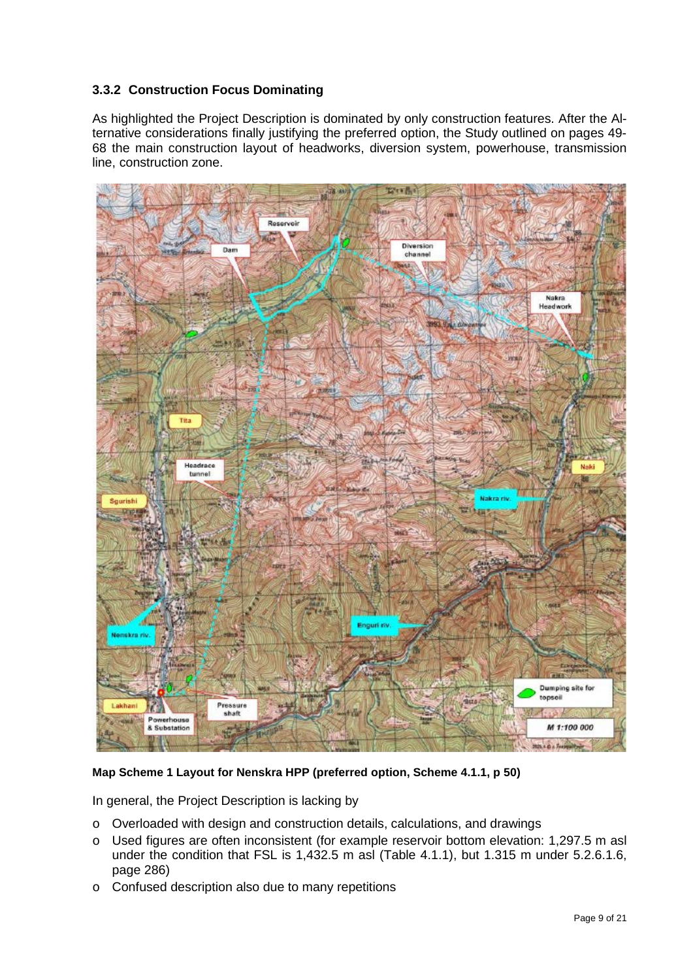# <span id="page-8-0"></span>**3.3.2 Construction Focus Dominating**

As highlighted the Project Description is dominated by only construction features. After the Alternative considerations finally justifying the preferred option, the Study outlined on pages 49- 68 the main construction layout of headworks, diversion system, powerhouse, transmission line, construction zone.



## <span id="page-8-1"></span>**Map Scheme 1 Layout for Nenskra HPP (preferred option, Scheme 4.1.1, p 50)**

In general, the Project Description is lacking by

- o Overloaded with design and construction details, calculations, and drawings
- o Used figures are often inconsistent (for example reservoir bottom elevation: 1,297.5 m asl under the condition that FSL is 1,432.5 m asl (Table 4.1.1), but 1.315 m under 5.2.6.1.6, page 286)
- o Confused description also due to many repetitions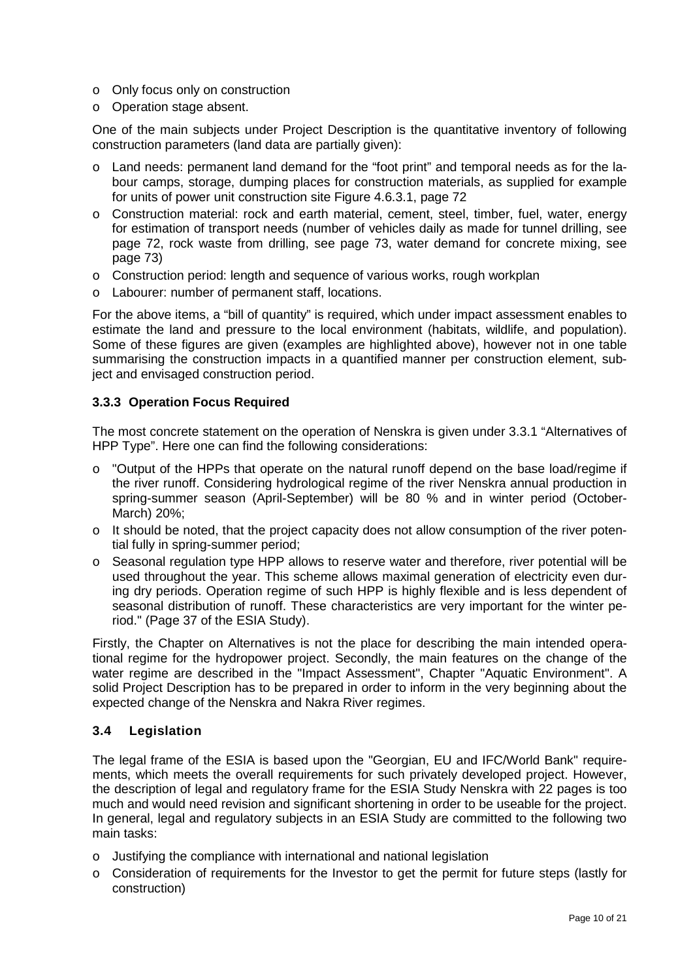- o Only focus only on construction
- o Operation stage absent.

One of the main subjects under Project Description is the quantitative inventory of following construction parameters (land data are partially given):

- o Land needs: permanent land demand for the "foot print" and temporal needs as for the labour camps, storage, dumping places for construction materials, as supplied for example for units of power unit construction site Figure 4.6.3.1, page 72
- o Construction material: rock and earth material, cement, steel, timber, fuel, water, energy for estimation of transport needs (number of vehicles daily as made for tunnel drilling, see page 72, rock waste from drilling, see page 73, water demand for concrete mixing, see page 73)
- o Construction period: length and sequence of various works, rough workplan
- o Labourer: number of permanent staff, locations.

For the above items, a "bill of quantity" is required, which under impact assessment enables to estimate the land and pressure to the local environment (habitats, wildlife, and population). Some of these figures are given (examples are highlighted above), however not in one table summarising the construction impacts in a quantified manner per construction element, subject and envisaged construction period.

#### <span id="page-9-0"></span>**3.3.3 Operation Focus Required**

The most concrete statement on the operation of Nenskra is given under 3.3.1 "Alternatives of HPP Type". Here one can find the following considerations:

- o "Output of the HPPs that operate on the natural runoff depend on the base load/regime if the river runoff. Considering hydrological regime of the river Nenskra annual production in spring-summer season (April-September) will be 80 % and in winter period (October-March) 20%;
- o It should be noted, that the project capacity does not allow consumption of the river potential fully in spring-summer period;
- o Seasonal regulation type HPP allows to reserve water and therefore, river potential will be used throughout the year. This scheme allows maximal generation of electricity even during dry periods. Operation regime of such HPP is highly flexible and is less dependent of seasonal distribution of runoff. These characteristics are very important for the winter period." (Page 37 of the ESIA Study).

Firstly, the Chapter on Alternatives is not the place for describing the main intended operational regime for the hydropower project. Secondly, the main features on the change of the water regime are described in the "Impact Assessment", Chapter "Aquatic Environment". A solid Project Description has to be prepared in order to inform in the very beginning about the expected change of the Nenskra and Nakra River regimes.

#### <span id="page-9-1"></span>**3.4 Legislation**

The legal frame of the ESIA is based upon the "Georgian, EU and IFC/World Bank" requirements, which meets the overall requirements for such privately developed project. However, the description of legal and regulatory frame for the ESIA Study Nenskra with 22 pages is too much and would need revision and significant shortening in order to be useable for the project. In general, legal and regulatory subjects in an ESIA Study are committed to the following two main tasks:

- o Justifying the compliance with international and national legislation
- o Consideration of requirements for the Investor to get the permit for future steps (lastly for construction)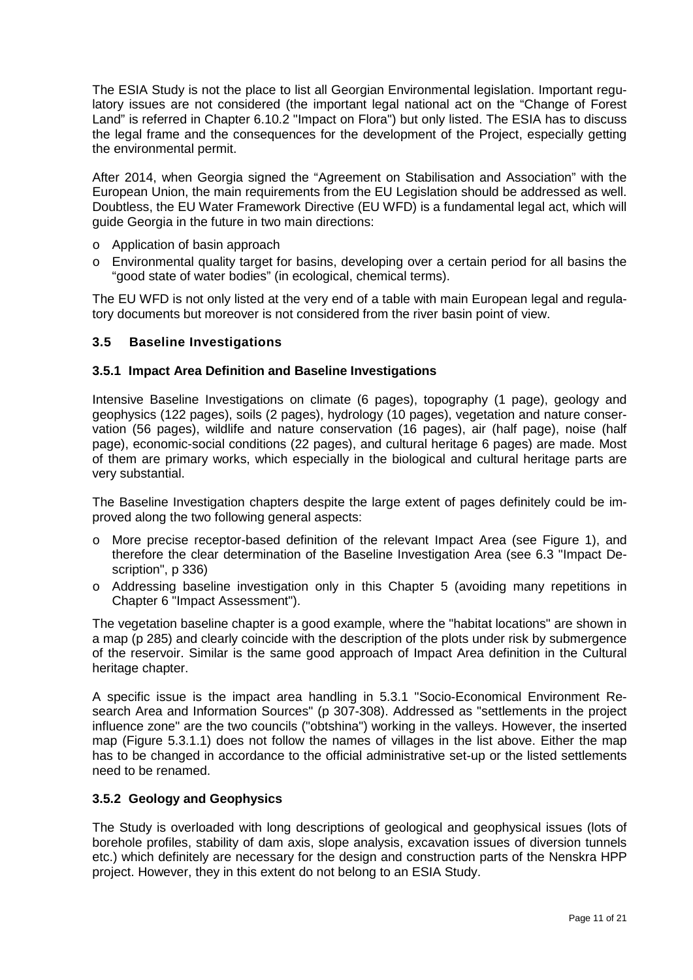The ESIA Study is not the place to list all Georgian Environmental legislation. Important regulatory issues are not considered (the important legal national act on the "Change of Forest Land" is referred in Chapter 6.10.2 "Impact on Flora") but only listed. The ESIA has to discuss the legal frame and the consequences for the development of the Project, especially getting the environmental permit.

After 2014, when Georgia signed the "Agreement on Stabilisation and Association" with the European Union, the main requirements from the EU Legislation should be addressed as well. Doubtless, the EU Water Framework Directive (EU WFD) is a fundamental legal act, which will guide Georgia in the future in two main directions:

- o Application of basin approach
- o Environmental quality target for basins, developing over a certain period for all basins the "good state of water bodies" (in ecological, chemical terms).

The EU WFD is not only listed at the very end of a table with main European legal and regulatory documents but moreover is not considered from the river basin point of view.

## <span id="page-10-0"></span>**3.5 Baseline Investigations**

#### <span id="page-10-1"></span>**3.5.1 Impact Area Definition and Baseline Investigations**

Intensive Baseline Investigations on climate (6 pages), topography (1 page), geology and geophysics (122 pages), soils (2 pages), hydrology (10 pages), vegetation and nature conservation (56 pages), wildlife and nature conservation (16 pages), air (half page), noise (half page), economic-social conditions (22 pages), and cultural heritage 6 pages) are made. Most of them are primary works, which especially in the biological and cultural heritage parts are very substantial.

The Baseline Investigation chapters despite the large extent of pages definitely could be improved along the two following general aspects:

- o More precise receptor-based definition of the relevant Impact Area (see [Figure 1\)](#page-5-2), and therefore the clear determination of the Baseline Investigation Area (see 6.3 "Impact Description", p 336)
- o Addressing baseline investigation only in this Chapter 5 (avoiding many repetitions in Chapter 6 "Impact Assessment").

The vegetation baseline chapter is a good example, where the "habitat locations" are shown in a map (p 285) and clearly coincide with the description of the plots under risk by submergence of the reservoir. Similar is the same good approach of Impact Area definition in the Cultural heritage chapter.

A specific issue is the impact area handling in 5.3.1 "Socio-Economical Environment Research Area and Information Sources" (p 307-308). Addressed as "settlements in the project influence zone" are the two councils ("obtshina") working in the valleys. However, the inserted map (Figure 5.3.1.1) does not follow the names of villages in the list above. Either the map has to be changed in accordance to the official administrative set-up or the listed settlements need to be renamed.

## <span id="page-10-2"></span>**3.5.2 Geology and Geophysics**

The Study is overloaded with long descriptions of geological and geophysical issues (lots of borehole profiles, stability of dam axis, slope analysis, excavation issues of diversion tunnels etc.) which definitely are necessary for the design and construction parts of the Nenskra HPP project. However, they in this extent do not belong to an ESIA Study.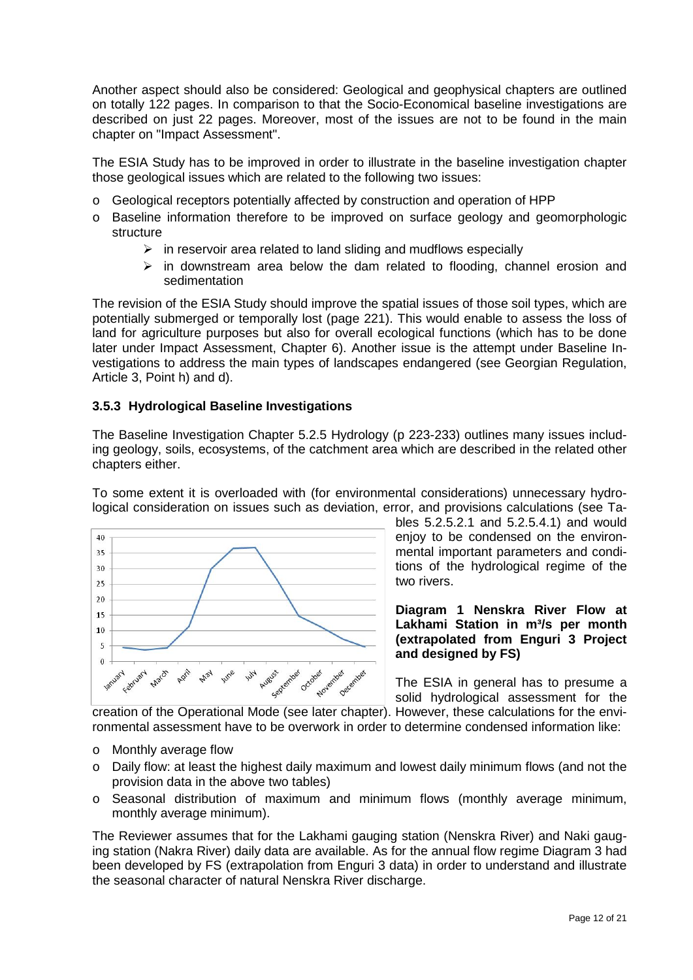Another aspect should also be considered: Geological and geophysical chapters are outlined on totally 122 pages. In comparison to that the Socio-Economical baseline investigations are described on just 22 pages. Moreover, most of the issues are not to be found in the main chapter on "Impact Assessment".

The ESIA Study has to be improved in order to illustrate in the baseline investigation chapter those geological issues which are related to the following two issues:

- o Geological receptors potentially affected by construction and operation of HPP
- o Baseline information therefore to be improved on surface geology and geomorphologic structure
	- $\triangleright$  in reservoir area related to land sliding and mudflows especially
	- $\triangleright$  in downstream area below the dam related to flooding, channel erosion and sedimentation

The revision of the ESIA Study should improve the spatial issues of those soil types, which are potentially submerged or temporally lost (page 221). This would enable to assess the loss of land for agriculture purposes but also for overall ecological functions (which has to be done later under Impact Assessment, Chapter 6). Another issue is the attempt under Baseline Investigations to address the main types of landscapes endangered (see Georgian Regulation, Article 3, Point h) and d).

## <span id="page-11-0"></span>**3.5.3 Hydrological Baseline Investigations**

The Baseline Investigation Chapter 5.2.5 Hydrology (p 223-233) outlines many issues including geology, soils, ecosystems, of the catchment area which are described in the related other chapters either.

To some extent it is overloaded with (for environmental considerations) unnecessary hydrological consideration on issues such as deviation, error, and provisions calculations (see Ta-



bles 5.2.5.2.1 and 5.2.5.4.1) and would enjoy to be condensed on the environmental important parameters and conditions of the hydrological regime of the two rivers.

**Diagram 1 Nenskra River Flow at**  Lakhami Station in m<sup>3</sup>/s per month **(extrapolated from Enguri 3 Project and designed by FS)** 

The ESIA in general has to presume a solid hydrological assessment for the

creation of the Operational Mode (see later chapter). However, these calculations for the environmental assessment have to be overwork in order to determine condensed information like:

- o Monthly average flow
- o Daily flow: at least the highest daily maximum and lowest daily minimum flows (and not the provision data in the above two tables)
- o Seasonal distribution of maximum and minimum flows (monthly average minimum, monthly average minimum).

The Reviewer assumes that for the Lakhami gauging station (Nenskra River) and Naki gauging station (Nakra River) daily data are available. As for the annual flow regime [Diagram 3](#page-16-1) had been developed by FS (extrapolation from Enguri 3 data) in order to understand and illustrate the seasonal character of natural Nenskra River discharge.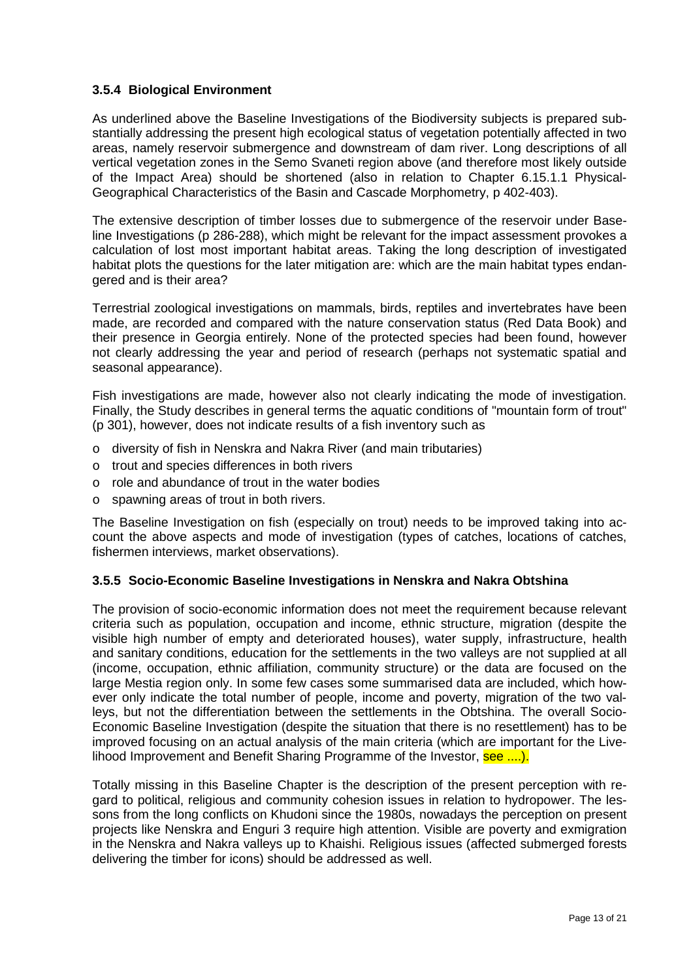## <span id="page-12-0"></span>**3.5.4 Biological Environment**

As underlined above the Baseline Investigations of the Biodiversity subjects is prepared substantially addressing the present high ecological status of vegetation potentially affected in two areas, namely reservoir submergence and downstream of dam river. Long descriptions of all vertical vegetation zones in the Semo Svaneti region above (and therefore most likely outside of the Impact Area) should be shortened (also in relation to Chapter 6.15.1.1 Physical-Geographical Characteristics of the Basin and Cascade Morphometry, p 402-403).

The extensive description of timber losses due to submergence of the reservoir under Baseline Investigations (p 286-288), which might be relevant for the impact assessment provokes a calculation of lost most important habitat areas. Taking the long description of investigated habitat plots the questions for the later mitigation are: which are the main habitat types endangered and is their area?

Terrestrial zoological investigations on mammals, birds, reptiles and invertebrates have been made, are recorded and compared with the nature conservation status (Red Data Book) and their presence in Georgia entirely. None of the protected species had been found, however not clearly addressing the year and period of research (perhaps not systematic spatial and seasonal appearance).

Fish investigations are made, however also not clearly indicating the mode of investigation. Finally, the Study describes in general terms the aquatic conditions of "mountain form of trout" (p 301), however, does not indicate results of a fish inventory such as

- o diversity of fish in Nenskra and Nakra River (and main tributaries)
- o trout and species differences in both rivers
- o role and abundance of trout in the water bodies
- o spawning areas of trout in both rivers.

The Baseline Investigation on fish (especially on trout) needs to be improved taking into account the above aspects and mode of investigation (types of catches, locations of catches, fishermen interviews, market observations).

## <span id="page-12-1"></span>**3.5.5 Socio-Economic Baseline Investigations in Nenskra and Nakra Obtshina**

The provision of socio-economic information does not meet the requirement because relevant criteria such as population, occupation and income, ethnic structure, migration (despite the visible high number of empty and deteriorated houses), water supply, infrastructure, health and sanitary conditions, education for the settlements in the two valleys are not supplied at all (income, occupation, ethnic affiliation, community structure) or the data are focused on the large Mestia region only. In some few cases some summarised data are included, which however only indicate the total number of people, income and poverty, migration of the two valleys, but not the differentiation between the settlements in the Obtshina. The overall Socio-Economic Baseline Investigation (despite the situation that there is no resettlement) has to be improved focusing on an actual analysis of the main criteria (which are important for the Livelihood Improvement and Benefit Sharing Programme of the Investor, see ....).

Totally missing in this Baseline Chapter is the description of the present perception with regard to political, religious and community cohesion issues in relation to hydropower. The lessons from the long conflicts on Khudoni since the 1980s, nowadays the perception on present projects like Nenskra and Enguri 3 require high attention. Visible are poverty and exmigration in the Nenskra and Nakra valleys up to Khaishi. Religious issues (affected submerged forests delivering the timber for icons) should be addressed as well.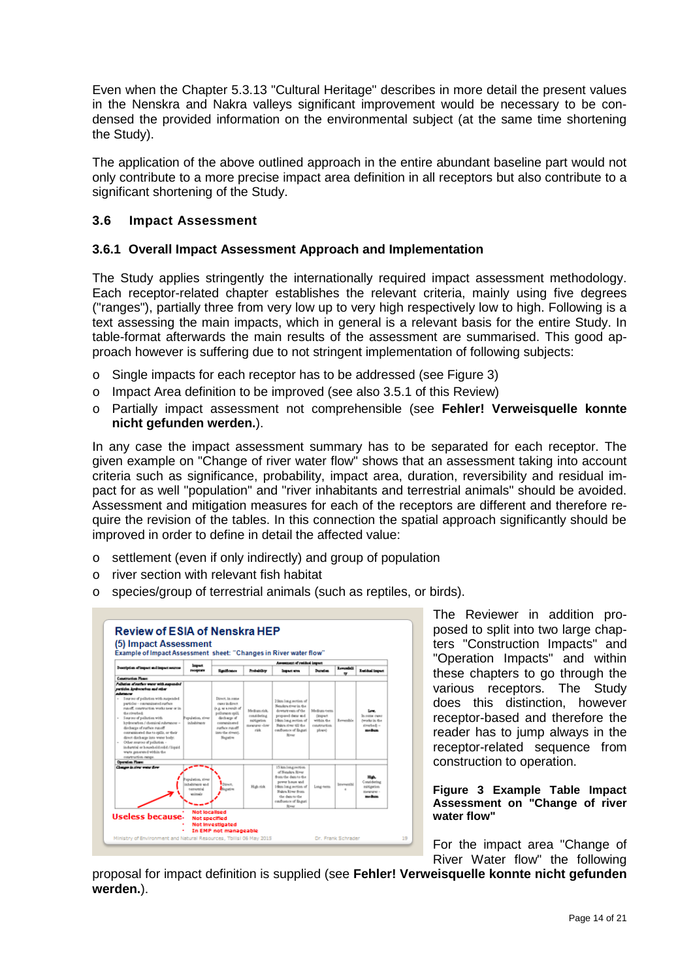Even when the Chapter 5.3.13 "Cultural Heritage" describes in more detail the present values in the Nenskra and Nakra valleys significant improvement would be necessary to be condensed the provided information on the environmental subject (at the same time shortening the Study).

The application of the above outlined approach in the entire abundant baseline part would not only contribute to a more precise impact area definition in all receptors but also contribute to a significant shortening of the Study.

## <span id="page-13-0"></span>**3.6 Impact Assessment**

#### <span id="page-13-1"></span>**3.6.1 Overall Impact Assessment Approach and Implementation**

The Study applies stringently the internationally required impact assessment methodology. Each receptor-related chapter establishes the relevant criteria, mainly using five degrees ("ranges"), partially three from very low up to very high respectively low to high. Following is a text assessing the main impacts, which in general is a relevant basis for the entire Study. In table-format afterwards the main results of the assessment are summarised. This good approach however is suffering due to not stringent implementation of following subjects:

- o Single impacts for each receptor has to be addressed (see [Figure 3\)](#page-13-2)
- o Impact Area definition to be improved (see also 3.5.1 of this Review)
- o Partially impact assessment not comprehensible (see **Fehler! Verweisquelle konnte nicht gefunden werden.**).

In any case the impact assessment summary has to be separated for each receptor. The given example on "Change of river water flow" shows that an assessment taking into account criteria such as significance, probability, impact area, duration, reversibility and residual impact for as well "population" and "river inhabitants and terrestrial animals" should be avoided. Assessment and mitigation measures for each of the receptors are different and therefore require the revision of the tables. In this connection the spatial approach significantly should be improved in order to define in detail the affected value:

- o settlement (even if only indirectly) and group of population
- o river section with relevant fish habitat
- o species/group of terrestrial animals (such as reptiles, or birds).



The Reviewer in addition proposed to split into two large chapters "Construction Impacts" and "Operation Impacts" and within these chapters to go through the various receptors. The Study does this distinction, however receptor-based and therefore the reader has to jump always in the receptor-related sequence from construction to operation.

#### <span id="page-13-2"></span>**Figure 3 Example Table Impact Assessment on "Change of river water flow"**

For the impact area "Change of River Water flow" the following

proposal for impact definition is supplied (see **Fehler! Verweisquelle konnte nicht gefunden werden.**).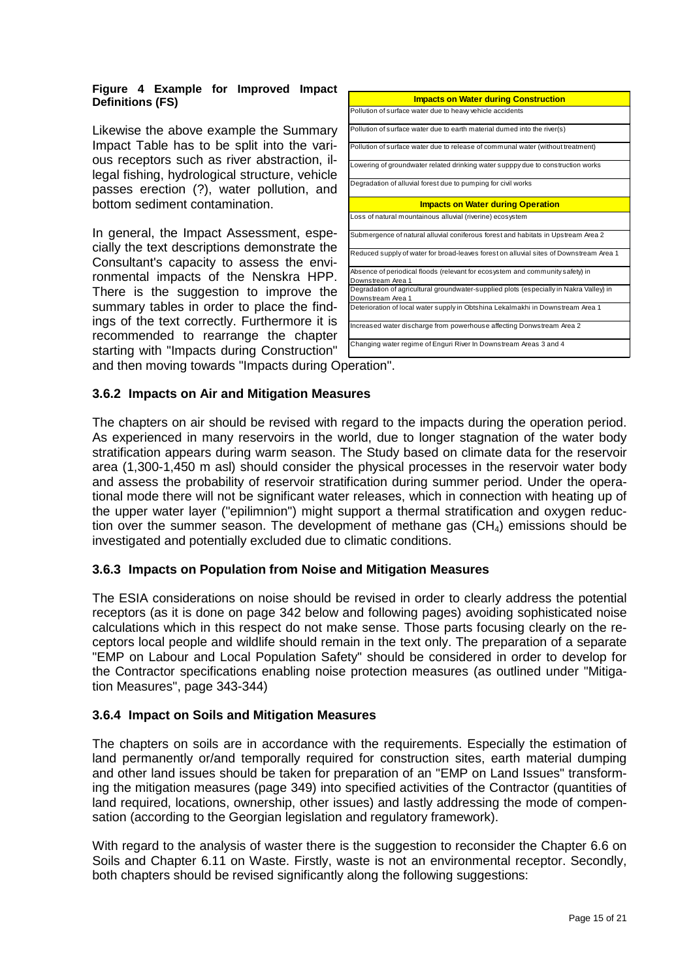#### **Figure 4 Example for Improved Impact Definitions (FS)**

Likewise the above example the Summary Impact Table has to be split into the various receptors such as river abstraction, illegal fishing, hydrological structure, vehicle passes erection (?), water pollution, and bottom sediment contamination.

In general, the Impact Assessment, especially the text descriptions demonstrate the Consultant's capacity to assess the environmental impacts of the Nenskra HPP. There is the suggestion to improve the summary tables in order to place the findings of the text correctly. Furthermore it is recommended to rearrange the chapter starting with "Impacts during Construction"

| <b>Impacts on Water during Construction</b>                                                                 |  |
|-------------------------------------------------------------------------------------------------------------|--|
| Pollution of surface water due to heavy vehicle accidents                                                   |  |
| Pollution of surface water due to earth material dumed into the river(s)                                    |  |
| Pollution of surface water due to release of communal water (without treatment)                             |  |
| Lowering of groundwater related drinking water supppy due to construction works                             |  |
| Degradation of alluvial forest due to pumping for civil works                                               |  |
| <b>Impacts on Water during Operation</b>                                                                    |  |
| Loss of natural mountainous alluvial (riverine) ecosystem                                                   |  |
| Submergence of natural alluvial coniferous forest and habitats in Upstream Area 2                           |  |
| Reduced supply of water for broad-leaves forest on alluvial sites of Downstream Area 1                      |  |
| Absence of periodical floods (relevant for ecosystem and community safety) in<br>Downstream Area 1          |  |
| Degradation of agricultural groundwater-supplied plots (especially in Nakra Valley) in<br>Downstream Area 1 |  |
| Deterioration of local water supply in Obtshina Lekalmakhi in Downstream Area 1                             |  |
| Increased water discharge from powerhouse affecting Donwstream Area 2                                       |  |
| Changing water regime of Enguri River In Downstream Areas 3 and 4                                           |  |

and then moving towards "Impacts during Operation".

#### <span id="page-14-0"></span>**3.6.2 Impacts on Air and Mitigation Measures**

The chapters on air should be revised with regard to the impacts during the operation period. As experienced in many reservoirs in the world, due to longer stagnation of the water body stratification appears during warm season. The Study based on climate data for the reservoir area (1,300-1,450 m asl) should consider the physical processes in the reservoir water body and assess the probability of reservoir stratification during summer period. Under the operational mode there will not be significant water releases, which in connection with heating up of the upper water layer ("epilimnion") might support a thermal stratification and oxygen reduction over the summer season. The development of methane gas  $(CH<sub>4</sub>)$  emissions should be investigated and potentially excluded due to climatic conditions.

## <span id="page-14-1"></span>**3.6.3 Impacts on Population from Noise and Mitigation Measures**

The ESIA considerations on noise should be revised in order to clearly address the potential receptors (as it is done on page 342 below and following pages) avoiding sophisticated noise calculations which in this respect do not make sense. Those parts focusing clearly on the receptors local people and wildlife should remain in the text only. The preparation of a separate "EMP on Labour and Local Population Safety" should be considered in order to develop for the Contractor specifications enabling noise protection measures (as outlined under "Mitigation Measures", page 343-344)

## <span id="page-14-2"></span>**3.6.4 Impact on Soils and Mitigation Measures**

The chapters on soils are in accordance with the requirements. Especially the estimation of land permanently or/and temporally required for construction sites, earth material dumping and other land issues should be taken for preparation of an "EMP on Land Issues" transforming the mitigation measures (page 349) into specified activities of the Contractor (quantities of land required, locations, ownership, other issues) and lastly addressing the mode of compensation (according to the Georgian legislation and regulatory framework).

With regard to the analysis of waster there is the suggestion to reconsider the Chapter 6.6 on Soils and Chapter 6.11 on Waste. Firstly, waste is not an environmental receptor. Secondly, both chapters should be revised significantly along the following suggestions: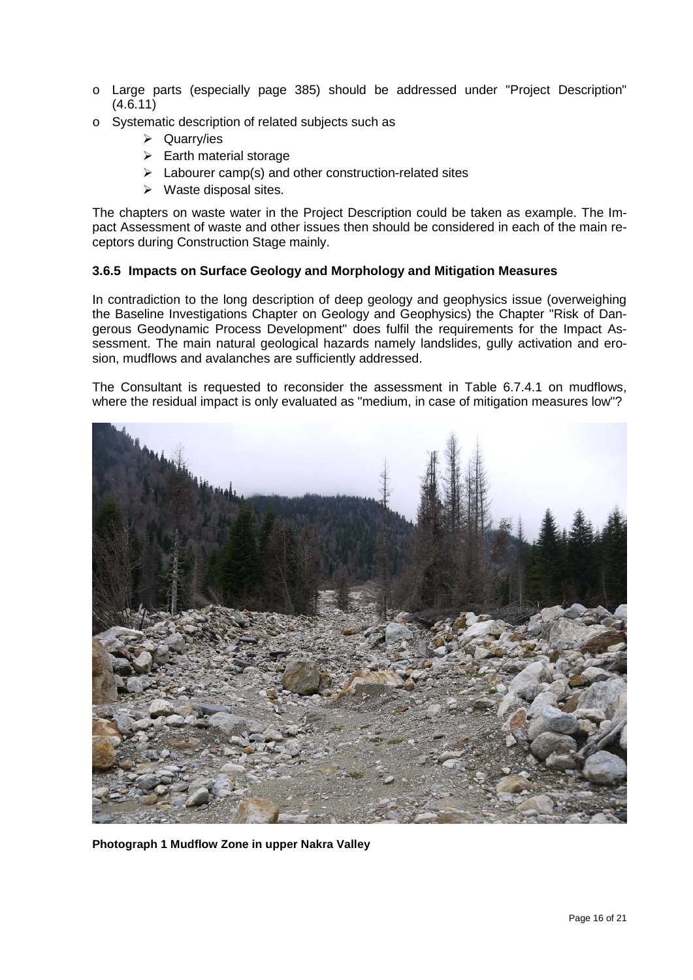- o Large parts (especially page 385) should be addressed under "Project Description" (4.6.11)
- o Systematic description of related subjects such as
	- Quarry/ies
	- $\triangleright$  Earth material storage
	- $\triangleright$  Labourer camp(s) and other construction-related sites
	- $\triangleright$  Waste disposal sites.

The chapters on waste water in the Project Description could be taken as example. The Impact Assessment of waste and other issues then should be considered in each of the main receptors during Construction Stage mainly.

## <span id="page-15-0"></span>**3.6.5 Impacts on Surface Geology and Morphology and Mitigation Measures**

In contradiction to the long description of deep geology and geophysics issue (overweighing the Baseline Investigations Chapter on Geology and Geophysics) the Chapter "Risk of Dangerous Geodynamic Process Development" does fulfil the requirements for the Impact Assessment. The main natural geological hazards namely landslides, gully activation and erosion, mudflows and avalanches are sufficiently addressed.

The Consultant is requested to reconsider the assessment in Table 6.7.4.1 on mudflows, where the residual impact is only evaluated as "medium, in case of mitigation measures low"?



**Photograph 1 Mudflow Zone in upper Nakra Valley**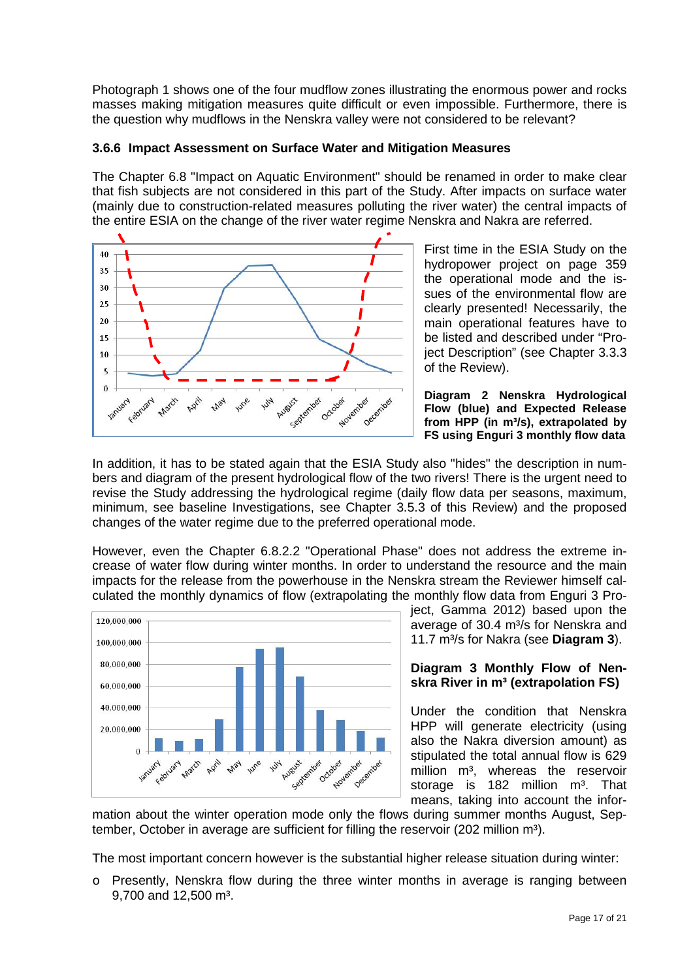Photograph 1 shows one of the four mudflow zones illustrating the enormous power and rocks masses making mitigation measures quite difficult or even impossible. Furthermore, there is the question why mudflows in the Nenskra valley were not considered to be relevant?

#### <span id="page-16-0"></span>**3.6.6 Impact Assessment on Surface Water and Mitigation Measures**

The Chapter 6.8 "Impact on Aquatic Environment" should be renamed in order to make clear that fish subjects are not considered in this part of the Study. After impacts on surface water (mainly due to construction-related measures polluting the river water) the central impacts of the entire ESIA on the change of the river water regime Nenskra and Nakra are referred.



First time in the ESIA Study on the hydropower project on page 359 the operational mode and the issues of the environmental flow are clearly presented! Necessarily, the main operational features have to be listed and described under "Project Description" (see Chapter 3.3.3 of the Review).

**Diagram 2 Nenskra Hydrological Flow (blue) and Expected Release from HPP (in m³/s), extrapolated by FS using Enguri 3 monthly flow data** 

In addition, it has to be stated again that the ESIA Study also "hides" the description in numbers and diagram of the present hydrological flow of the two rivers! There is the urgent need to revise the Study addressing the hydrological regime (daily flow data per seasons, maximum, minimum, see baseline Investigations, see Chapter 3.5.3 of this Review) and the proposed changes of the water regime due to the preferred operational mode.

However, even the Chapter 6.8.2.2 "Operational Phase" does not address the extreme increase of water flow during winter months. In order to understand the resource and the main impacts for the release from the powerhouse in the Nenskra stream the Reviewer himself calculated the monthly dynamics of flow (extrapolating the monthly flow data from Enguri 3 Pro-



ject, Gamma 2012) based upon the average of 30.4 m<sup>3</sup>/s for Nenskra and 11.7 m³/s for Nakra (see **[Diagram 3](#page-16-1)**).

#### <span id="page-16-1"></span>**Diagram 3 Monthly Flow of Nenskra River in m³ (extrapolation FS)**

Under the condition that Nenskra HPP will generate electricity (using also the Nakra diversion amount) as stipulated the total annual flow is 629 million m<sup>3</sup>, whereas the reservoir storage is 182 million m<sup>3</sup>. That means, taking into account the infor-

mation about the winter operation mode only the flows during summer months August, September, October in average are sufficient for filling the reservoir  $(202 \text{ million m}^3)$ .

The most important concern however is the substantial higher release situation during winter:

o Presently, Nenskra flow during the three winter months in average is ranging between 9,700 and  $12,500$  m<sup>3</sup>.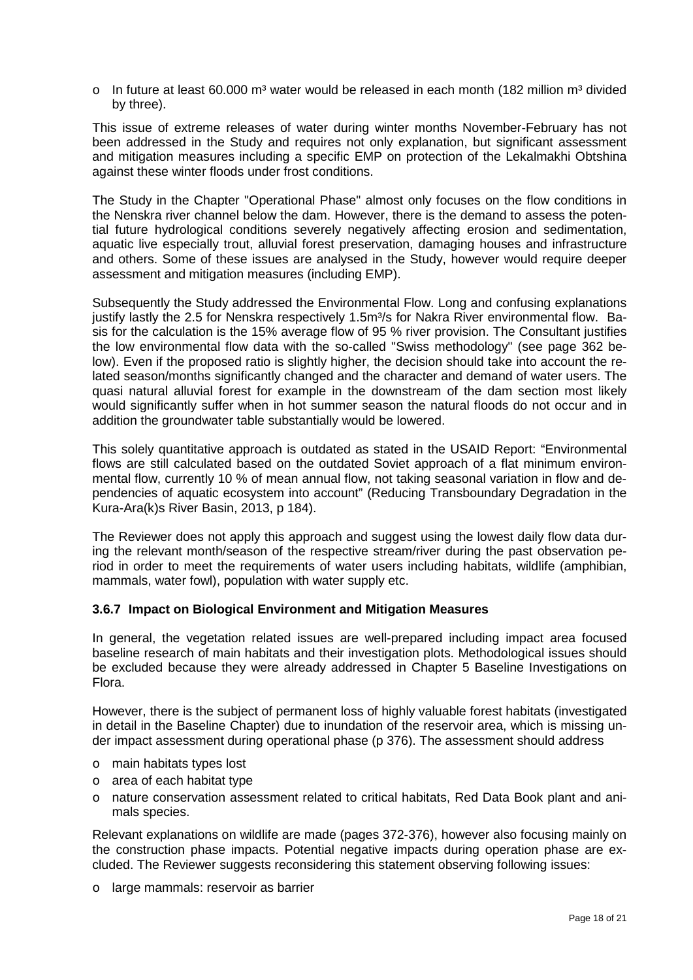$\circ$  In future at least 60.000 m<sup>3</sup> water would be released in each month (182 million m<sup>3</sup> divided by three).

This issue of extreme releases of water during winter months November-February has not been addressed in the Study and requires not only explanation, but significant assessment and mitigation measures including a specific EMP on protection of the Lekalmakhi Obtshina against these winter floods under frost conditions.

The Study in the Chapter "Operational Phase" almost only focuses on the flow conditions in the Nenskra river channel below the dam. However, there is the demand to assess the potential future hydrological conditions severely negatively affecting erosion and sedimentation, aquatic live especially trout, alluvial forest preservation, damaging houses and infrastructure and others. Some of these issues are analysed in the Study, however would require deeper assessment and mitigation measures (including EMP).

Subsequently the Study addressed the Environmental Flow. Long and confusing explanations justify lastly the 2.5 for Nenskra respectively 1.5m<sup>3</sup>/s for Nakra River environmental flow. Basis for the calculation is the 15% average flow of 95 % river provision. The Consultant justifies the low environmental flow data with the so-called "Swiss methodology" (see page 362 below). Even if the proposed ratio is slightly higher, the decision should take into account the related season/months significantly changed and the character and demand of water users. The quasi natural alluvial forest for example in the downstream of the dam section most likely would significantly suffer when in hot summer season the natural floods do not occur and in addition the groundwater table substantially would be lowered.

This solely quantitative approach is outdated as stated in the USAID Report: "Environmental flows are still calculated based on the outdated Soviet approach of a flat minimum environmental flow, currently 10 % of mean annual flow, not taking seasonal variation in flow and dependencies of aquatic ecosystem into account" (Reducing Transboundary Degradation in the Kura-Ara(k)s River Basin, 2013, p 184).

The Reviewer does not apply this approach and suggest using the lowest daily flow data during the relevant month/season of the respective stream/river during the past observation period in order to meet the requirements of water users including habitats, wildlife (amphibian, mammals, water fowl), population with water supply etc.

## <span id="page-17-0"></span>**3.6.7 Impact on Biological Environment and Mitigation Measures**

In general, the vegetation related issues are well-prepared including impact area focused baseline research of main habitats and their investigation plots. Methodological issues should be excluded because they were already addressed in Chapter 5 Baseline Investigations on Flora.

However, there is the subject of permanent loss of highly valuable forest habitats (investigated in detail in the Baseline Chapter) due to inundation of the reservoir area, which is missing under impact assessment during operational phase (p 376). The assessment should address

- o main habitats types lost
- o area of each habitat type
- o nature conservation assessment related to critical habitats, Red Data Book plant and animals species.

Relevant explanations on wildlife are made (pages 372-376), however also focusing mainly on the construction phase impacts. Potential negative impacts during operation phase are excluded. The Reviewer suggests reconsidering this statement observing following issues:

o large mammals: reservoir as barrier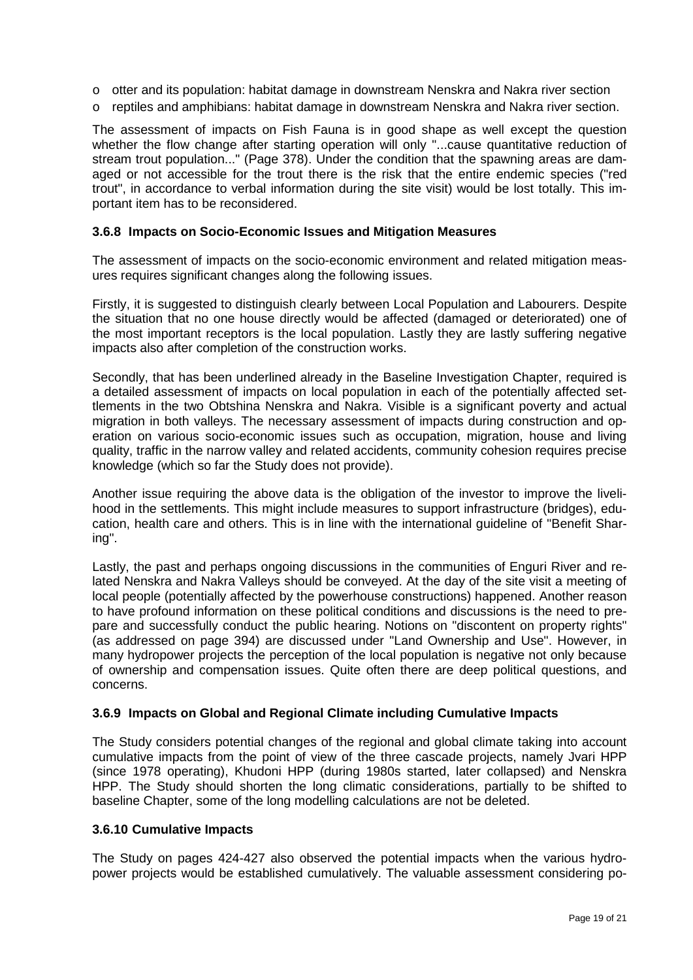- o otter and its population: habitat damage in downstream Nenskra and Nakra river section
- o reptiles and amphibians: habitat damage in downstream Nenskra and Nakra river section.

The assessment of impacts on Fish Fauna is in good shape as well except the question whether the flow change after starting operation will only "...cause quantitative reduction of stream trout population..." (Page 378). Under the condition that the spawning areas are damaged or not accessible for the trout there is the risk that the entire endemic species ("red trout", in accordance to verbal information during the site visit) would be lost totally. This important item has to be reconsidered.

#### <span id="page-18-0"></span>**3.6.8 Impacts on Socio-Economic Issues and Mitigation Measures**

The assessment of impacts on the socio-economic environment and related mitigation measures requires significant changes along the following issues.

Firstly, it is suggested to distinguish clearly between Local Population and Labourers. Despite the situation that no one house directly would be affected (damaged or deteriorated) one of the most important receptors is the local population. Lastly they are lastly suffering negative impacts also after completion of the construction works.

Secondly, that has been underlined already in the Baseline Investigation Chapter, required is a detailed assessment of impacts on local population in each of the potentially affected settlements in the two Obtshina Nenskra and Nakra. Visible is a significant poverty and actual migration in both valleys. The necessary assessment of impacts during construction and operation on various socio-economic issues such as occupation, migration, house and living quality, traffic in the narrow valley and related accidents, community cohesion requires precise knowledge (which so far the Study does not provide).

Another issue requiring the above data is the obligation of the investor to improve the livelihood in the settlements. This might include measures to support infrastructure (bridges), education, health care and others. This is in line with the international guideline of "Benefit Sharing".

Lastly, the past and perhaps ongoing discussions in the communities of Enguri River and related Nenskra and Nakra Valleys should be conveyed. At the day of the site visit a meeting of local people (potentially affected by the powerhouse constructions) happened. Another reason to have profound information on these political conditions and discussions is the need to prepare and successfully conduct the public hearing. Notions on "discontent on property rights" (as addressed on page 394) are discussed under "Land Ownership and Use". However, in many hydropower projects the perception of the local population is negative not only because of ownership and compensation issues. Quite often there are deep political questions, and concerns.

#### <span id="page-18-1"></span>**3.6.9 Impacts on Global and Regional Climate including Cumulative Impacts**

The Study considers potential changes of the regional and global climate taking into account cumulative impacts from the point of view of the three cascade projects, namely Jvari HPP (since 1978 operating), Khudoni HPP (during 1980s started, later collapsed) and Nenskra HPP. The Study should shorten the long climatic considerations, partially to be shifted to baseline Chapter, some of the long modelling calculations are not be deleted.

#### <span id="page-18-2"></span>**3.6.10 Cumulative Impacts**

The Study on pages 424-427 also observed the potential impacts when the various hydropower projects would be established cumulatively. The valuable assessment considering po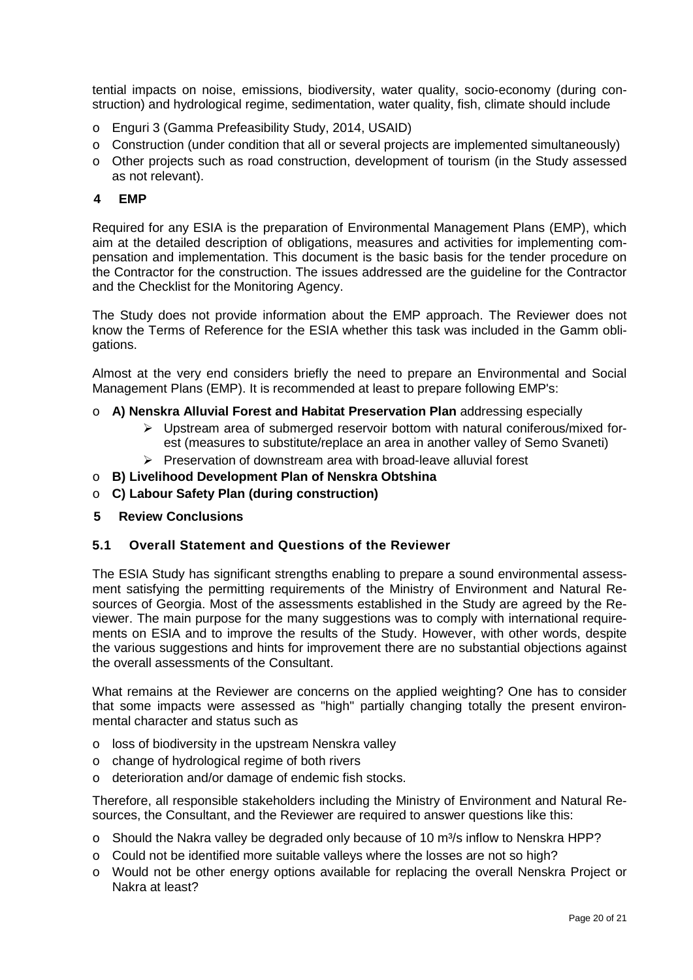tential impacts on noise, emissions, biodiversity, water quality, socio-economy (during construction) and hydrological regime, sedimentation, water quality, fish, climate should include

- o Enguri 3 (Gamma Prefeasibility Study, 2014, USAID)
- o Construction (under condition that all or several projects are implemented simultaneously)
- o Other projects such as road construction, development of tourism (in the Study assessed as not relevant).

#### <span id="page-19-0"></span>**4 EMP**

Required for any ESIA is the preparation of Environmental Management Plans (EMP), which aim at the detailed description of obligations, measures and activities for implementing compensation and implementation. This document is the basic basis for the tender procedure on the Contractor for the construction. The issues addressed are the guideline for the Contractor and the Checklist for the Monitoring Agency.

The Study does not provide information about the EMP approach. The Reviewer does not know the Terms of Reference for the ESIA whether this task was included in the Gamm obligations.

Almost at the very end considers briefly the need to prepare an Environmental and Social Management Plans (EMP). It is recommended at least to prepare following EMP's:

- o **A) Nenskra Alluvial Forest and Habitat Preservation Plan** addressing especially
	- $\triangleright$  Upstream area of submerged reservoir bottom with natural coniferous/mixed forest (measures to substitute/replace an area in another valley of Semo Svaneti)
	- $\triangleright$  Preservation of downstream area with broad-leave alluvial forest
- o **B) Livelihood Development Plan of Nenskra Obtshina**
- o **C) Labour Safety Plan (during construction)**
- <span id="page-19-1"></span>**5 Review Conclusions**

#### <span id="page-19-2"></span>**5.1 Overall Statement and Questions of the Reviewer**

The ESIA Study has significant strengths enabling to prepare a sound environmental assessment satisfying the permitting requirements of the Ministry of Environment and Natural Resources of Georgia. Most of the assessments established in the Study are agreed by the Reviewer. The main purpose for the many suggestions was to comply with international requirements on ESIA and to improve the results of the Study. However, with other words, despite the various suggestions and hints for improvement there are no substantial objections against the overall assessments of the Consultant.

What remains at the Reviewer are concerns on the applied weighting? One has to consider that some impacts were assessed as "high" partially changing totally the present environmental character and status such as

- o loss of biodiversity in the upstream Nenskra valley
- o change of hydrological regime of both rivers
- o deterioration and/or damage of endemic fish stocks.

Therefore, all responsible stakeholders including the Ministry of Environment and Natural Resources, the Consultant, and the Reviewer are required to answer questions like this:

- $\circ$  Should the Nakra valley be degraded only because of 10 m<sup>3</sup>/s inflow to Nenskra HPP?
- $\circ$  Could not be identified more suitable vallevs where the losses are not so high?
- o Would not be other energy options available for replacing the overall Nenskra Project or Nakra at least?